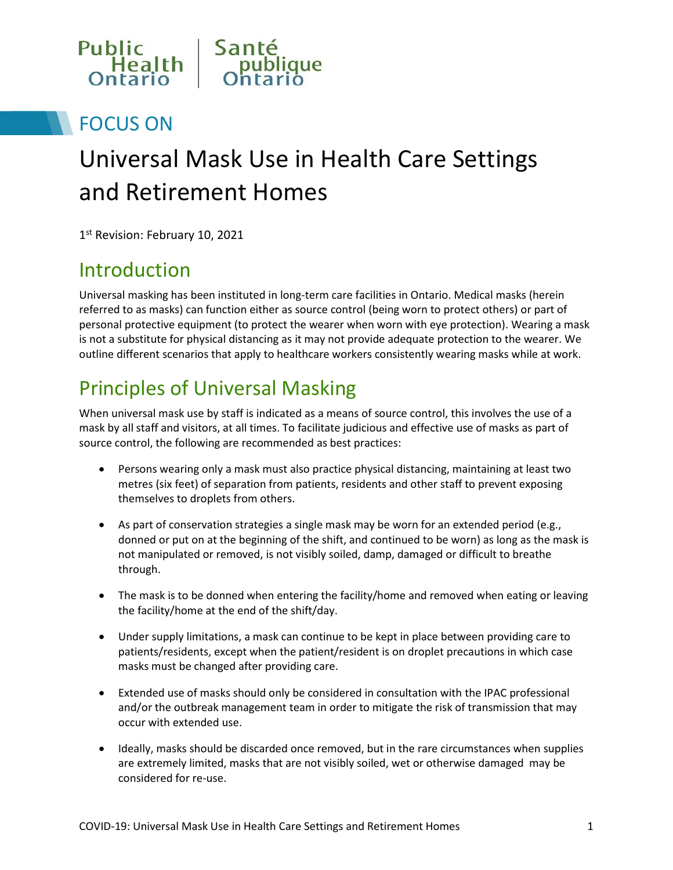

# FOCUS ON

# Universal Mask Use in Health Care Settings and Retirement Homes

1<sup>st</sup> Revision: February 10, 2021

# Introduction

Universal masking has been instituted in long-term care facilities in Ontario. Medical masks (herein referred to as masks) can function either as source control (being worn to protect others) or part of personal protective equipment (to protect the wearer when worn with eye protection). Wearing a mask is not a substitute for physical distancing as it may not provide adequate protection to the wearer. We outline different scenarios that apply to healthcare workers consistently wearing masks while at work.

# Principles of Universal Masking

When universal mask use by staff is indicated as a means of source control, this involves the use of a mask by all staff and visitors, at all times. To facilitate judicious and effective use of masks as part of source control, the following are recommended as best practices:

- Persons wearing only a mask must also practice physical distancing, maintaining at least two metres (six feet) of separation from patients, residents and other staff to prevent exposing themselves to droplets from others.
- As part of conservation strategies a single mask may be worn for an extended period (e.g., donned or put on at the beginning of the shift, and continued to be worn) as long as the mask is not manipulated or removed, is not visibly soiled, damp, damaged or difficult to breathe through.
- The mask is to be donned when entering the facility/home and removed when eating or leaving the facility/home at the end of the shift/day.
- Under supply limitations, a mask can continue to be kept in place between providing care to patients/residents, except when the patient/resident is on droplet precautions in which case masks must be changed after providing care.
- Extended use of masks should only be considered in consultation with the IPAC professional and/or the outbreak management team in order to mitigate the risk of transmission that may occur with extended use.
- Ideally, masks should be discarded once removed, but in the rare circumstances when supplies are extremely limited, masks that are not visibly soiled, wet or otherwise damaged may be considered for re-use.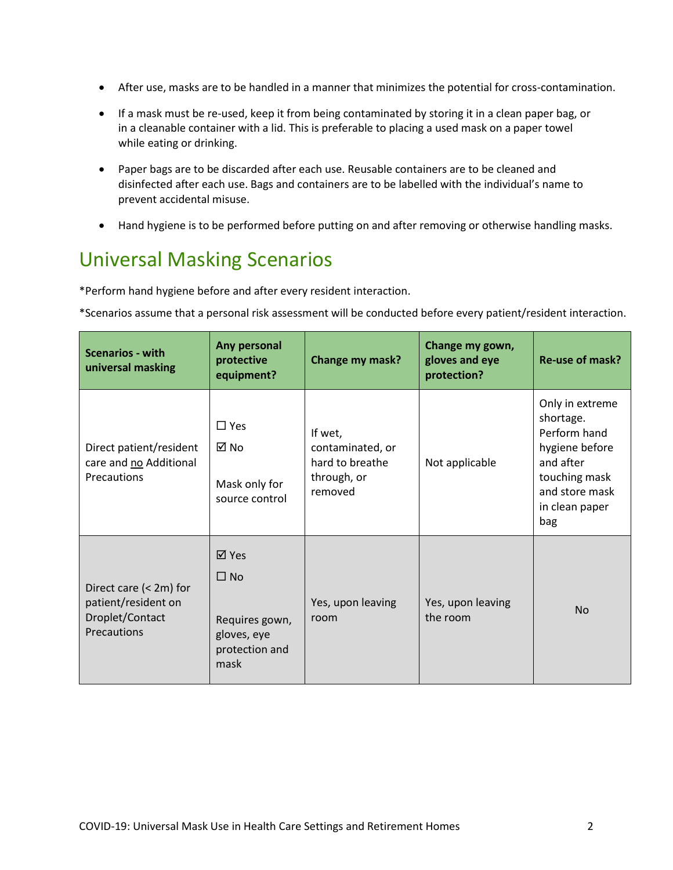- After use, masks are to be handled in a manner that minimizes the potential for cross-contamination.
- If a mask must be re-used, keep it from being contaminated by storing it in a clean paper bag, or in a cleanable container with a lid. This is preferable to placing a used mask on a paper towel while eating or drinking.
- Paper bags are to be discarded after each use. Reusable containers are to be cleaned and disinfected after each use. Bags and containers are to be labelled with the individual's name to prevent accidental misuse.
- Hand hygiene is to be performed before putting on and after removing or otherwise handling masks.

# Universal Masking Scenarios

\*Perform hand hygiene before and after every resident interaction.

\*Scenarios assume that a personal risk assessment will be conducted before every patient/resident interaction.

| <b>Scenarios - with</b><br>universal masking                                    | Any personal<br>protective<br>equipment?                                      | Change my mask?                                                          | Change my gown,<br>gloves and eye<br>protection? | Re-use of mask?                                                                                                                         |
|---------------------------------------------------------------------------------|-------------------------------------------------------------------------------|--------------------------------------------------------------------------|--------------------------------------------------|-----------------------------------------------------------------------------------------------------------------------------------------|
| Direct patient/resident<br>care and no Additional<br>Precautions                | $\square$ Yes<br>⊠ No<br>Mask only for<br>source control                      | If wet,<br>contaminated, or<br>hard to breathe<br>through, or<br>removed | Not applicable                                   | Only in extreme<br>shortage.<br>Perform hand<br>hygiene before<br>and after<br>touching mask<br>and store mask<br>in clean paper<br>bag |
| Direct care (< 2m) for<br>patient/resident on<br>Droplet/Contact<br>Precautions | ⊠ Yes<br>$\Box$ No<br>Requires gown,<br>gloves, eye<br>protection and<br>mask | Yes, upon leaving<br>room                                                | Yes, upon leaving<br>the room                    | <b>No</b>                                                                                                                               |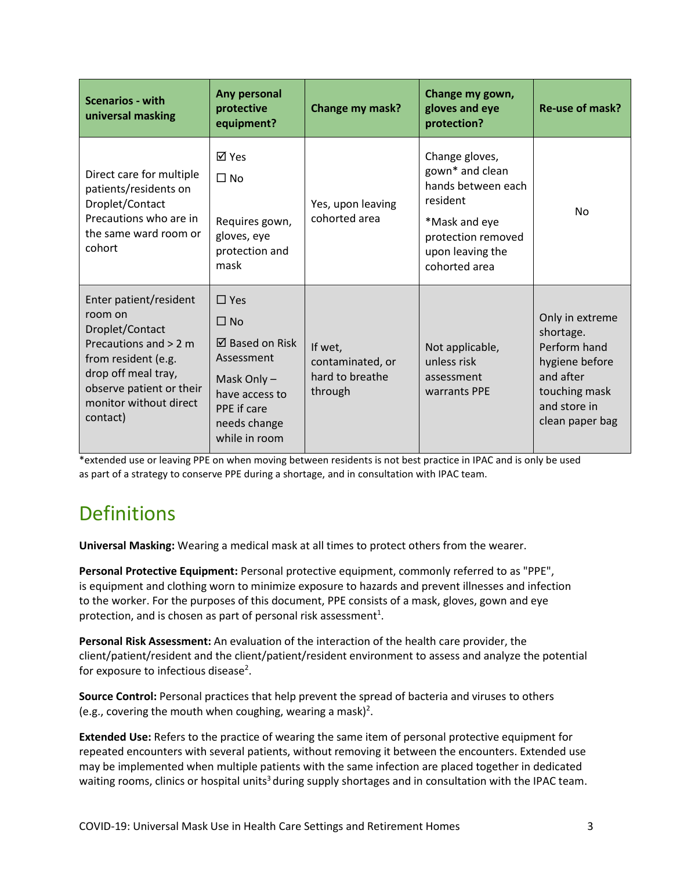| <b>Scenarios - with</b><br>universal masking                                                                                                                                                    | Any personal<br>protective<br>equipment?                                                                                                              | Change my mask?                                           | Change my gown,<br>gloves and eye<br>protection?                                                                                                | Re-use of mask?                                                                                                                 |
|-------------------------------------------------------------------------------------------------------------------------------------------------------------------------------------------------|-------------------------------------------------------------------------------------------------------------------------------------------------------|-----------------------------------------------------------|-------------------------------------------------------------------------------------------------------------------------------------------------|---------------------------------------------------------------------------------------------------------------------------------|
| Direct care for multiple<br>patients/residents on<br>Droplet/Contact<br>Precautions who are in<br>the same ward room or<br>cohort                                                               | ⊠ Yes<br>$\Box$ No<br>Requires gown,<br>gloves, eye<br>protection and<br>mask                                                                         | Yes, upon leaving<br>cohorted area                        | Change gloves,<br>gown* and clean<br>hands between each<br>resident<br>*Mask and eye<br>protection removed<br>upon leaving the<br>cohorted area | No.                                                                                                                             |
| Enter patient/resident<br>room on<br>Droplet/Contact<br>Precautions and $> 2$ m<br>from resident (e.g.<br>drop off meal tray,<br>observe patient or their<br>monitor without direct<br>contact) | $\Box$ Yes<br>$\Box$ No<br>$\boxtimes$ Based on Risk<br>Assessment<br>Mask Only $-$<br>have access to<br>PPE if care<br>needs change<br>while in room | If wet,<br>contaminated, or<br>hard to breathe<br>through | Not applicable,<br>unless risk<br>assessment<br>warrants PPE                                                                                    | Only in extreme<br>shortage.<br>Perform hand<br>hygiene before<br>and after<br>touching mask<br>and store in<br>clean paper bag |

\*extended use or leaving PPE on when moving between residents is not best practice in IPAC and is only be used as part of a strategy to conserve PPE during a shortage, and in consultation with IPAC team.

# **Definitions**

**Universal Masking:** Wearing a medical mask at all times to protect others from the wearer.

**Personal Protective Equipment:** Personal protective equipment, commonly referred to as "PPE", is equipment and clothing worn to minimize exposure to hazards and prevent illnesses and infection to the worker. For the purposes of this document, PPE consists of a mask, gloves, gown and eye protection, and is chosen as part of personal risk assessment<sup>1</sup>.

**Personal Risk Assessment:** An evaluation of the interaction of the health care provider, the client/patient/resident and the client/patient/resident environment to assess and analyze the potential for exposure to infectious disease<sup>2</sup>.

**Source Control:** Personal practices that help prevent the spread of bacteria and viruses to others (e.g., covering the mouth when coughing, wearing a mask)<sup>2</sup>.

**Extended Use:** Refers to the practice of wearing the same item of personal protective equipment for repeated encounters with several patients, without removing it between the encounters. Extended use may be implemented when multiple patients with the same infection are placed together in dedicated waiting rooms, clinics or hospital units<sup>3</sup> during supply shortages and in consultation with the IPAC team.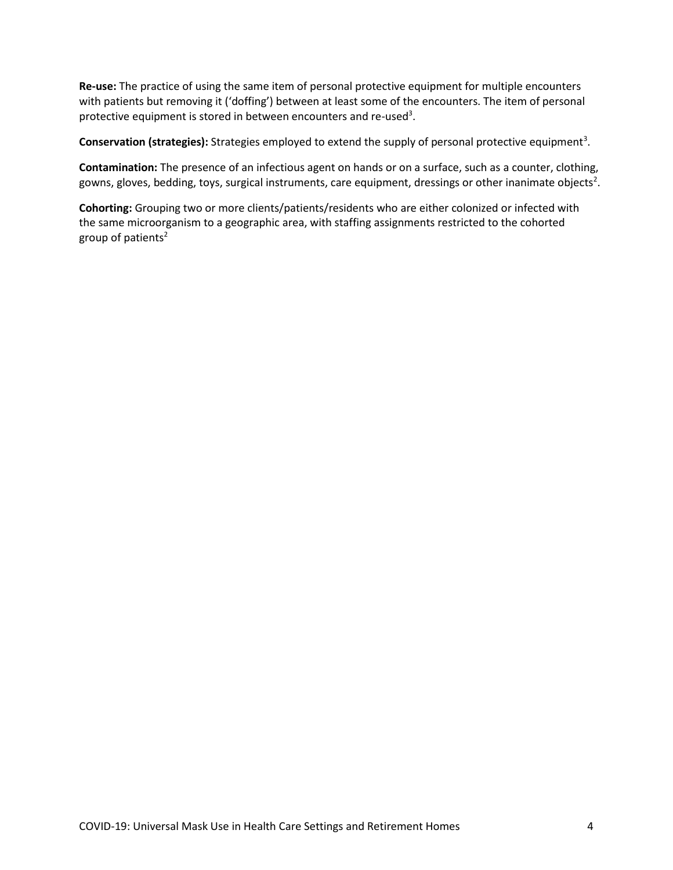**Re-use:** The practice of using the same item of personal protective equipment for multiple encounters with patients but removing it ('doffing') between at least some of the encounters. The item of personal protective equipment is stored in between encounters and re-used<sup>3</sup>.

Conservation (strategies): Strategies employed to extend the supply of personal protective equipment<sup>3</sup>.

**Contamination:** The presence of an infectious agent on hands or on a surface, such as a counter, clothing, gowns, gloves, bedding, toys, surgical instruments, care equipment, dressings or other inanimate objects<sup>2</sup>.

**Cohorting:** Grouping two or more clients/patients/residents who are either colonized or infected with the same microorganism to a geographic area, with staffing assignments restricted to the cohorted group of patients<sup>2</sup>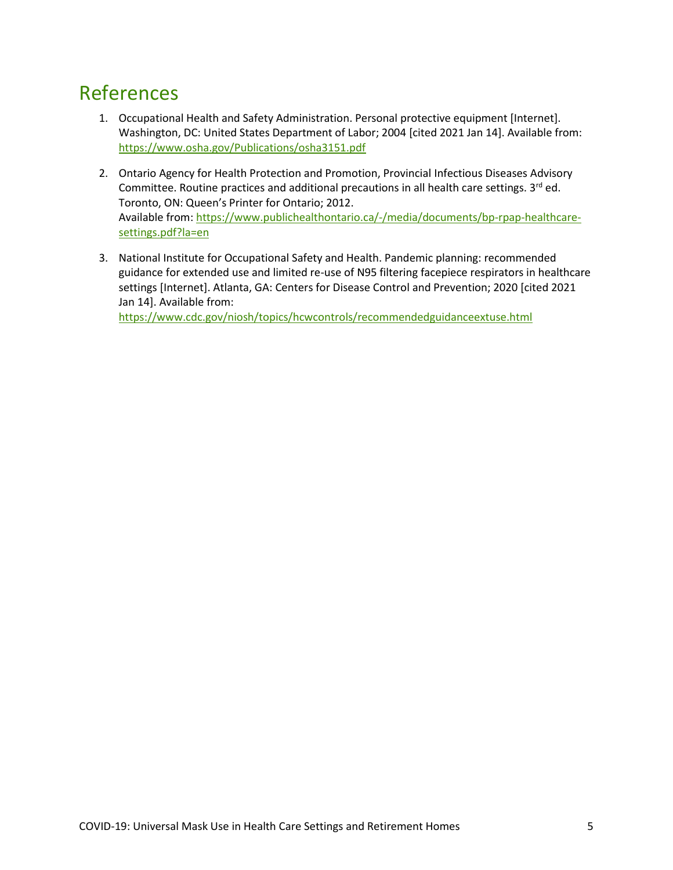#### References

- 1. Occupational Health and Safety Administration. Personal protective equipment [Internet]. Washington, DC: United States Department of Labor; 2004 [cited 2021 Jan 14]. Available from: <https://www.osha.gov/Publications/osha3151.pdf>
- 2. Ontario Agency for Health Protection and Promotion, Provincial Infectious Diseases Advisory Committee. Routine practices and additional precautions in all health care settings.  $3^{rd}$  ed. Toronto, ON: Queen's Printer for Ontario; 2012. Available from[: https://www.publichealthontario.ca/-/media/documents/bp-rpap-healthcare](https://www.publichealthontario.ca/-/media/documents/bp-rpap-healthcare-settings.pdf?la=en)[settings.pdf?la=en](https://www.publichealthontario.ca/-/media/documents/bp-rpap-healthcare-settings.pdf?la=en)
- 3. National Institute for Occupational Safety and Health. Pandemic planning: recommended guidance for extended use and limited re-use of N95 filtering facepiece respirators in healthcare settings [Internet]. Atlanta, GA: Centers for Disease Control and Prevention; 2020 [cited 2021 Jan 14]. Available from:

<https://www.cdc.gov/niosh/topics/hcwcontrols/recommendedguidanceextuse.html>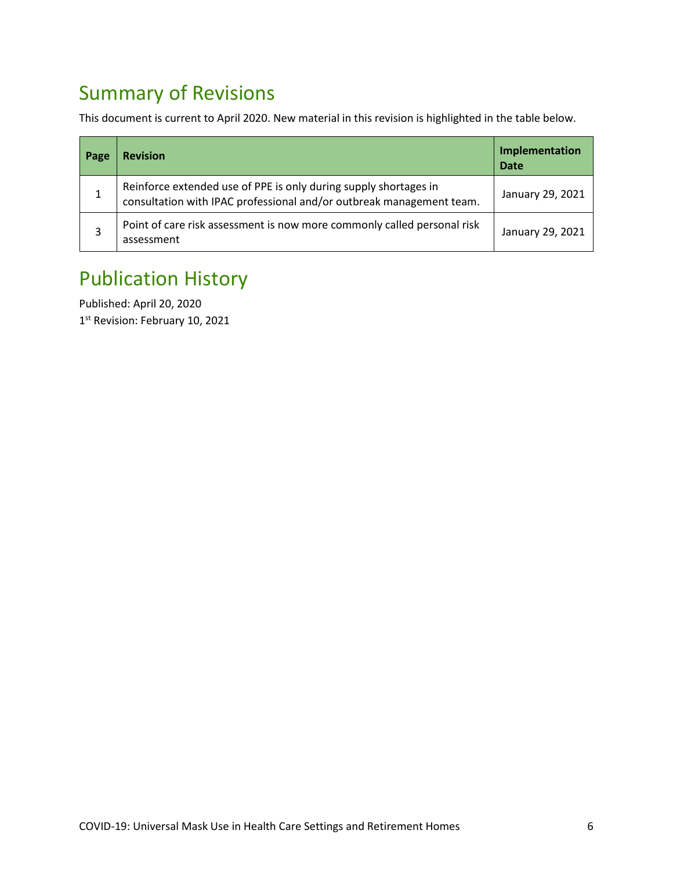# Summary of Revisions

This document is current to April 2020. New material in this revision is highlighted in the table below.

| Page | <b>Revision</b>                                                                                                                          | Implementation<br><b>Date</b> |
|------|------------------------------------------------------------------------------------------------------------------------------------------|-------------------------------|
|      | Reinforce extended use of PPE is only during supply shortages in<br>consultation with IPAC professional and/or outbreak management team. | January 29, 2021              |
|      | Point of care risk assessment is now more commonly called personal risk<br>assessment                                                    | January 29, 2021              |

# Publication History

Published: April 20, 2020 1<sup>st</sup> Revision: February 10, 2021